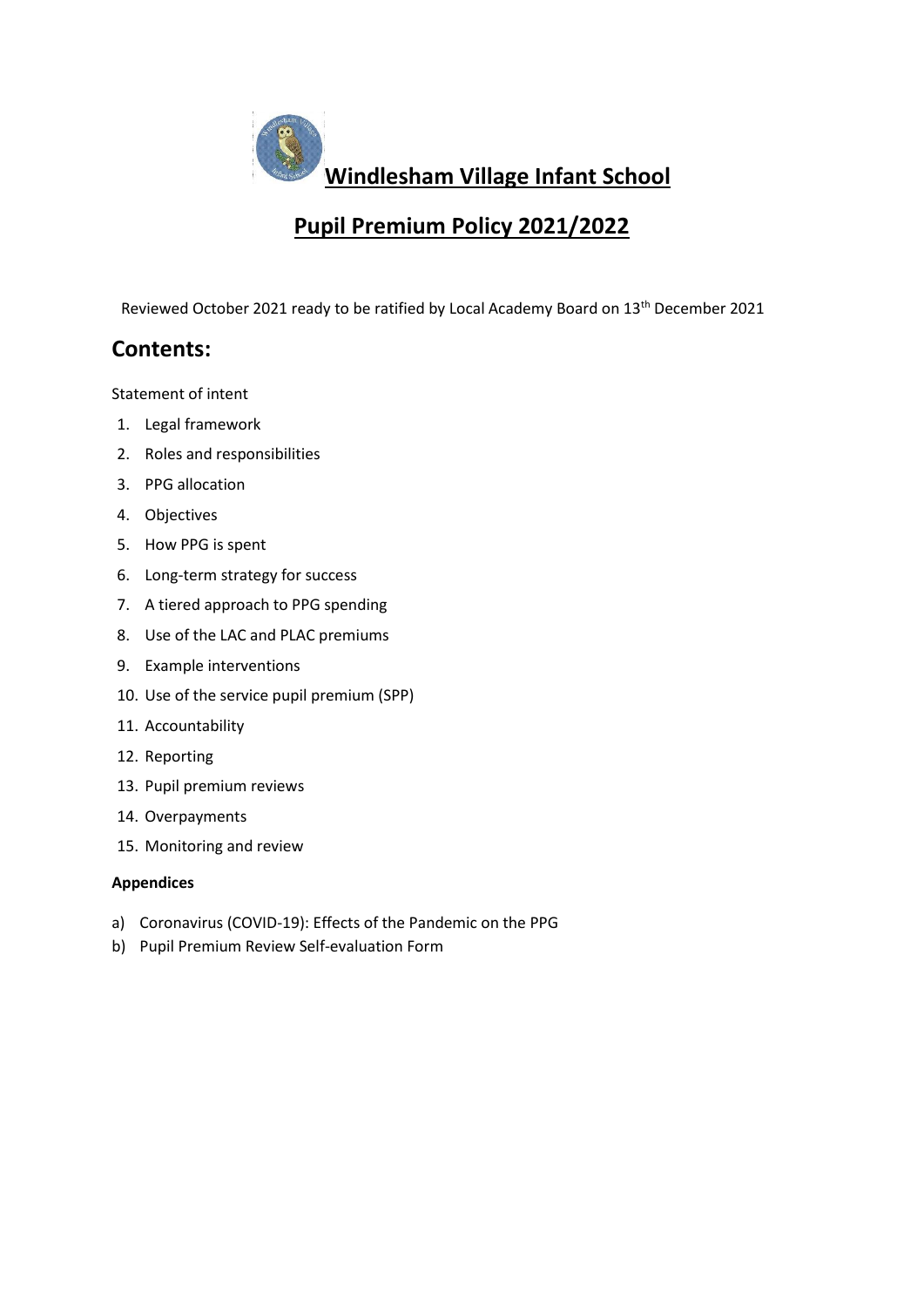

# **Pupil Premium Policy 2021/2022**

Reviewed October 2021 ready to be ratified by Local Academy Board on 13<sup>th</sup> December 2021

## **Contents:**

[Statement of intent](#page-1-0)

- 1. [Legal framework](#page-1-1)
- 2. [Roles and responsibilities](#page-1-2)
- 3. [PPG allocation](#page-2-0)
- 4. [Objectives](#page-3-0)
- 5. [How PPG is](#page-3-1) spent
- 6. [Long-term strategy for success](#page-4-0)
- 7. [A tiered approach to PPG spending](#page-5-0)
- 8. [Use of the LAC and PLAC premiums](#page-5-1)
- 9. [Example interventions](#page-6-0)
- 10. [Use of the service pupil premium \(SPP\)](#page-6-1)
- 11. [Accountability](#page-7-0)
- 12. [Reporting](#page-7-1)
- 13. [Pupil premium reviews](#page-7-2)
- 14. [Overpayments](#page-8-0)
- 15. [Monitoring and review](#page-8-1)

#### **Appendices**

- a) [Coronavirus \(COVID-19\): Effects of the Pandemic on the PPG](#page-8-2)
- b) [Pupil Premium Review Self-evaluation Form](#page-10-0)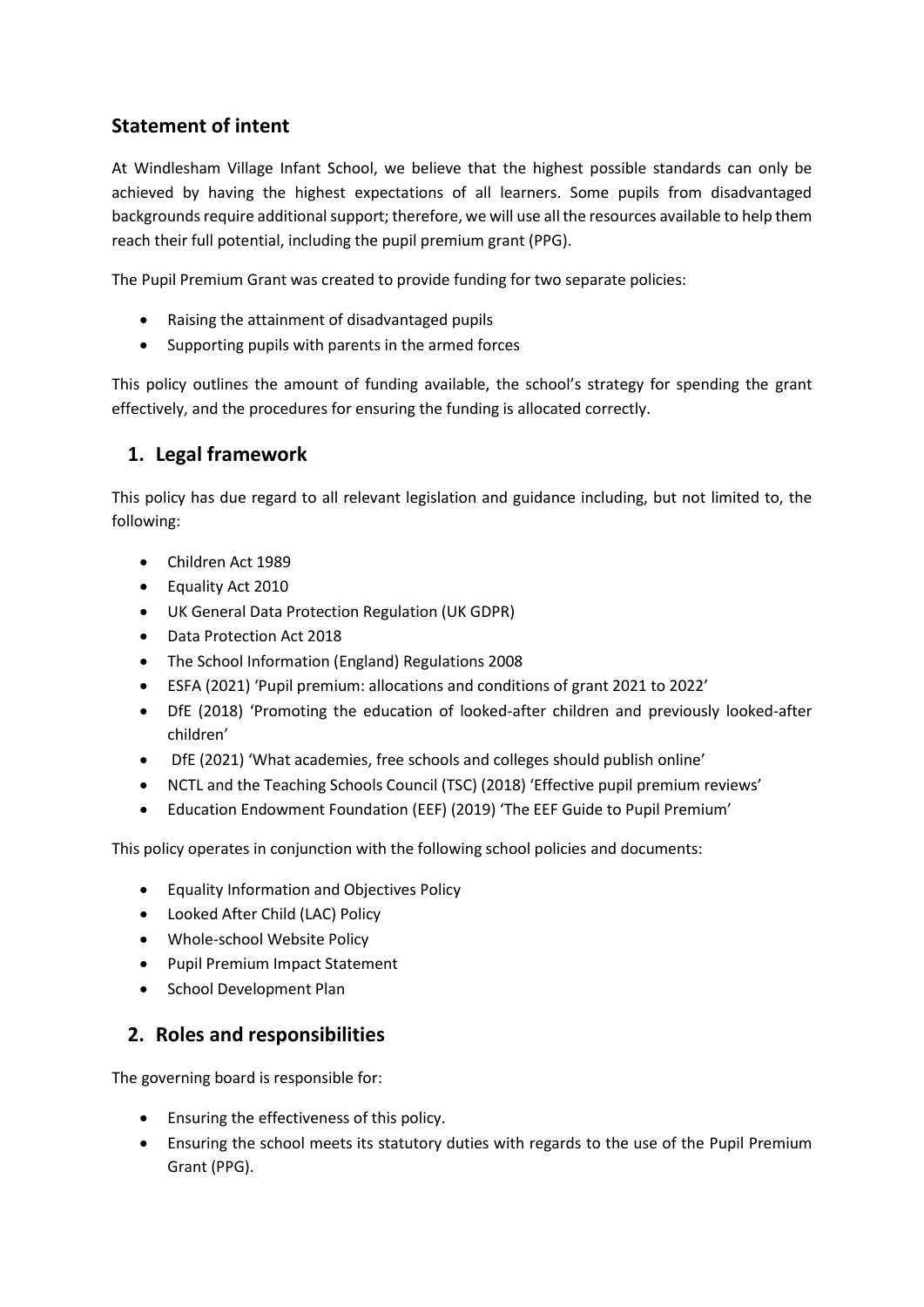## <span id="page-1-0"></span>**Statement of intent**

At Windlesham Village Infant School, we believe that the highest possible standards can only be achieved by having the highest expectations of all learners. Some pupils from disadvantaged backgrounds require additional support; therefore, we will use all the resources available to help them reach their full potential, including the pupil premium grant (PPG).

The Pupil Premium Grant was created to provide funding for two separate policies:

- Raising the attainment of disadvantaged pupils
- Supporting pupils with parents in the armed forces

This policy outlines the amount of funding available, the school's strategy for spending the grant effectively, and the procedures for ensuring the funding is allocated correctly.

## <span id="page-1-1"></span>**1. Legal framework**

This policy has due regard to all relevant legislation and guidance including, but not limited to, the following:

- Children Act 1989
- Equality Act 2010
- UK General Data Protection Regulation (UK GDPR)
- Data Protection Act 2018
- The School Information (England) Regulations 2008
- ESFA (2021) 'Pupil premium: allocations and conditions of grant 2021 to 2022'
- DfE (2018) 'Promoting the education of looked-after children and previously looked-after children'
- DfE (2021) 'What academies, free schools and colleges should publish online'
- NCTL and the Teaching Schools Council (TSC) (2018) 'Effective pupil premium reviews'
- Education Endowment Foundation (EEF) (2019) 'The EEF Guide to Pupil Premium'

This policy operates in conjunction with the following school policies and documents:

- Equality Information and Objectives Policy
- Looked After Child (LAC) Policy
- Whole-school Website Policy
- Pupil Premium Impact Statement
- School Development Plan

#### <span id="page-1-2"></span>**2. Roles and responsibilities**

The governing board is responsible for:

- Ensuring the effectiveness of this policy.
- Ensuring the school meets its statutory duties with regards to the use of the Pupil Premium Grant (PPG).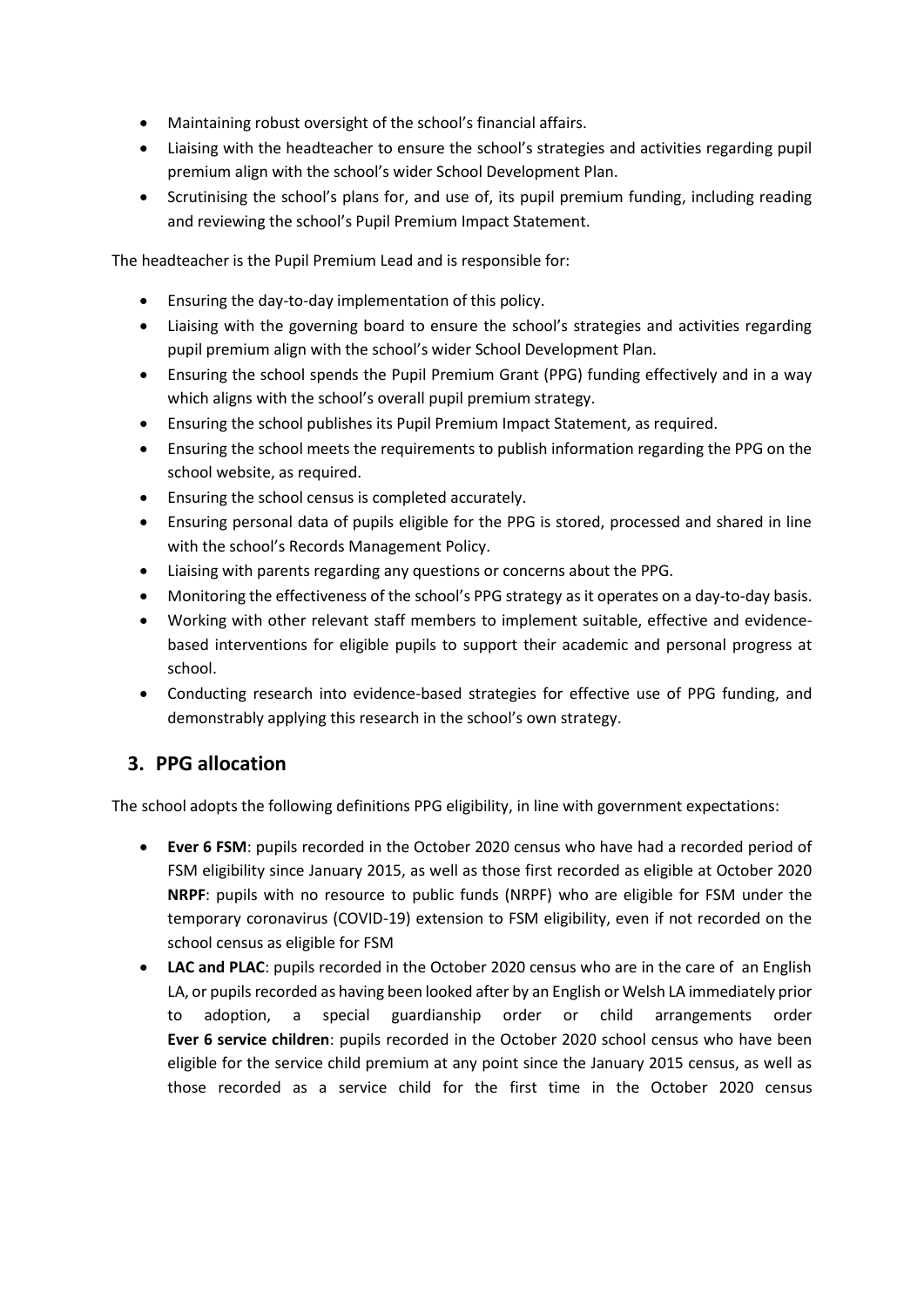- Maintaining robust oversight of the school's financial affairs.
- Liaising with the headteacher to ensure the school's strategies and activities regarding pupil premium align with the school's wider School Development Plan.
- Scrutinising the school's plans for, and use of, its pupil premium funding, including reading and reviewing the school's Pupil Premium Impact Statement.

The headteacher is the Pupil Premium Lead and is responsible for:

- Ensuring the day-to-day implementation of this policy.
- Liaising with the governing board to ensure the school's strategies and activities regarding pupil premium align with the school's wider School Development Plan.
- Ensuring the school spends the Pupil Premium Grant (PPG) funding effectively and in a way which aligns with the school's overall pupil premium strategy.
- Ensuring the school publishes its Pupil Premium Impact Statement, as required.
- Ensuring the school meets the requirements to publish information regarding the PPG on the school website, as required.
- Ensuring the school census is completed accurately.
- Ensuring personal data of pupils eligible for the PPG is stored, processed and shared in line with the school's Records Management Policy.
- Liaising with parents regarding any questions or concerns about the PPG.
- Monitoring the effectiveness of the school's PPG strategy as it operates on a day-to-day basis.
- Working with other relevant staff members to implement suitable, effective and evidencebased interventions for eligible pupils to support their academic and personal progress at school.
- Conducting research into evidence-based strategies for effective use of PPG funding, and demonstrably applying this research in the school's own strategy.

## <span id="page-2-0"></span>**3. PPG allocation**

The school adopts the following definitions PPG eligibility, in line with government expectations:

- **Ever 6 FSM**: pupils recorded in the October 2020 census who have had a recorded period of FSM eligibility since January 2015, as well as those first recorded as eligible at October 2020 **NRPF**: pupils with no resource to public funds (NRPF) who are eligible for FSM under the temporary coronavirus (COVID-19) extension to FSM eligibility, even if not recorded on the school census as eligible for FSM
- **LAC and PLAC**: pupils recorded in the October 2020 census who are in the care of an English LA, or pupils recorded as having been looked after by an English or Welsh LA immediately prior to adoption, a special guardianship order or child arrangements order **Ever 6 service children**: pupils recorded in the October 2020 school census who have been eligible for the service child premium at any point since the January 2015 census, as well as those recorded as a service child for the first time in the October 2020 census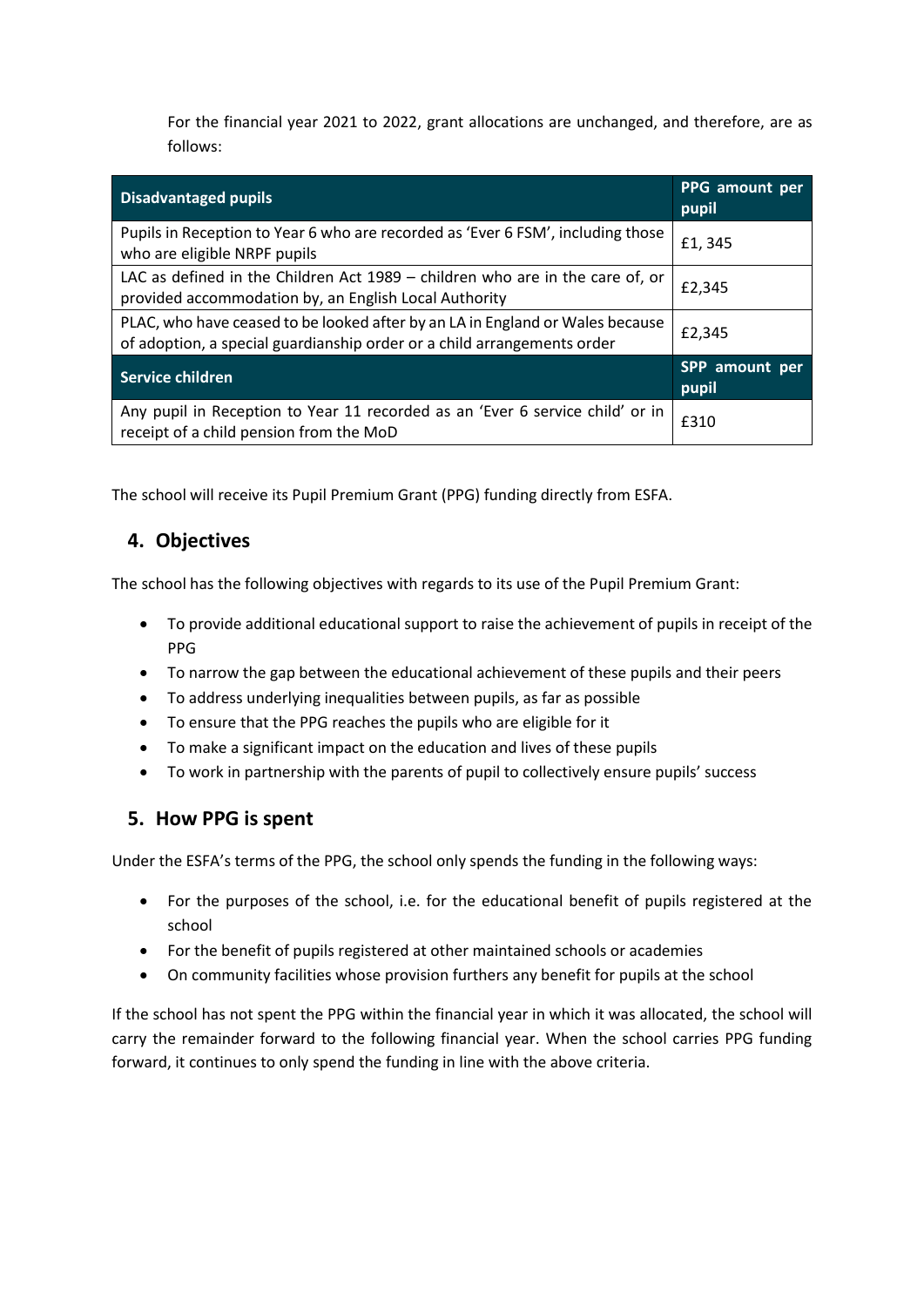For the financial year 2021 to 2022, grant allocations are unchanged, and therefore, are as follows:

| <b>Disadvantaged pupils</b>                                                                                                                              | PPG amount per<br>pupil |
|----------------------------------------------------------------------------------------------------------------------------------------------------------|-------------------------|
| Pupils in Reception to Year 6 who are recorded as 'Ever 6 FSM', including those<br>who are eligible NRPF pupils                                          | £1,345                  |
| LAC as defined in the Children Act $1989 -$ children who are in the care of, or<br>provided accommodation by, an English Local Authority                 | £2,345                  |
| PLAC, who have ceased to be looked after by an LA in England or Wales because<br>of adoption, a special guardianship order or a child arrangements order | £2,345                  |
| Service children                                                                                                                                         | SPP amount per<br>pupil |
| Any pupil in Reception to Year 11 recorded as an 'Ever 6 service child' or in<br>receipt of a child pension from the MoD                                 | £310                    |

The school will receive its Pupil Premium Grant (PPG) funding directly from ESFA.

## <span id="page-3-0"></span>**4. Objectives**

The school has the following objectives with regards to its use of the Pupil Premium Grant:

- To provide additional educational support to raise the achievement of pupils in receipt of the PPG
- To narrow the gap between the educational achievement of these pupils and their peers
- To address underlying inequalities between pupils, as far as possible
- To ensure that the PPG reaches the pupils who are eligible for it
- To make a significant impact on the education and lives of these pupils
- To work in partnership with the parents of pupil to collectively ensure pupils' success

#### <span id="page-3-1"></span>**5. How PPG is spent**

Under the ESFA's terms of the PPG, the school only spends the funding in the following ways:

- For the purposes of the school, i.e. for the educational benefit of pupils registered at the school
- For the benefit of pupils registered at other maintained schools or academies
- On community facilities whose provision furthers any benefit for pupils at the school

If the school has not spent the PPG within the financial year in which it was allocated, the school will carry the remainder forward to the following financial year. When the school carries PPG funding forward, it continues to only spend the funding in line with the above criteria.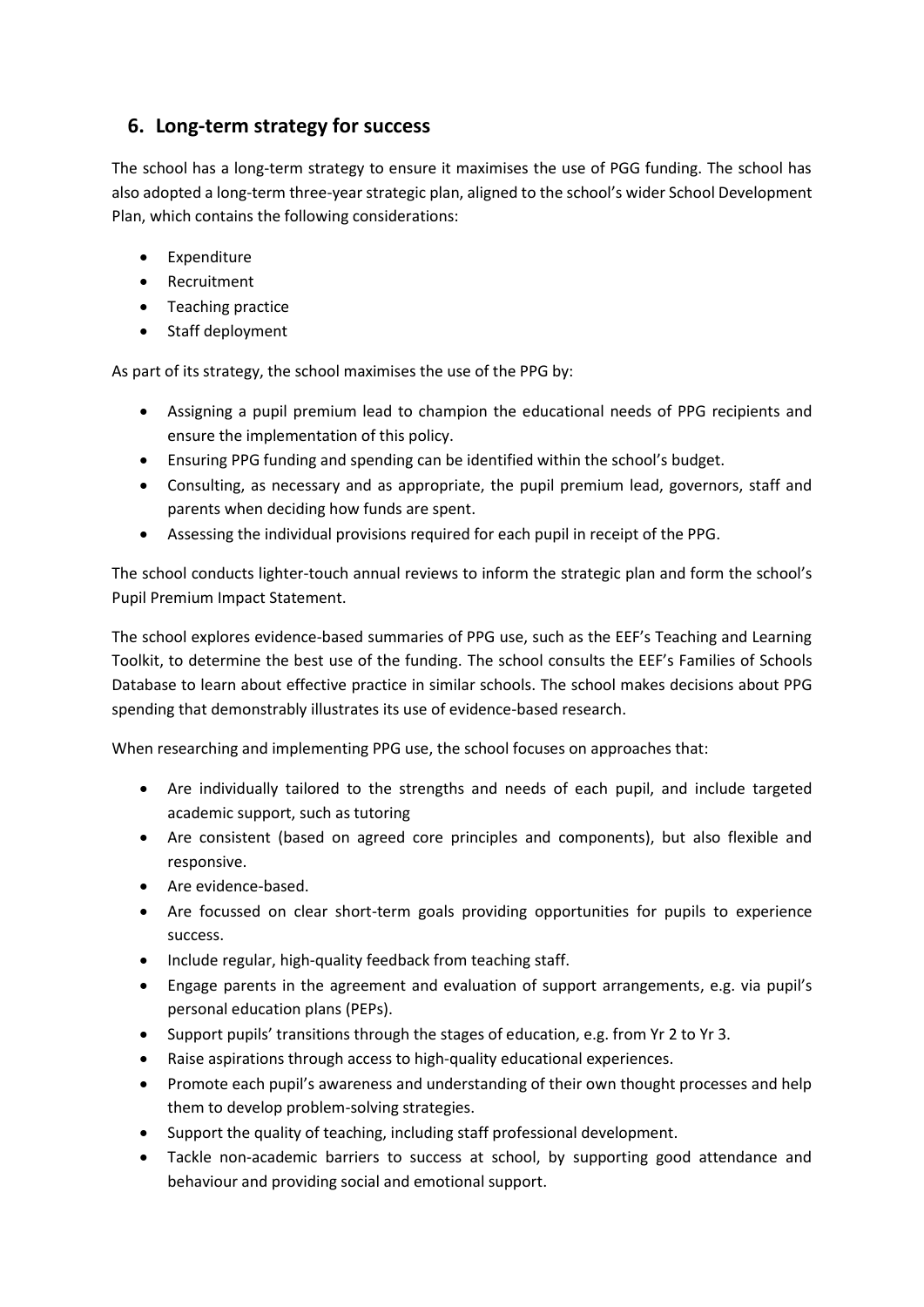## <span id="page-4-0"></span>**6. Long-term strategy for success**

The school has a long-term strategy to ensure it maximises the use of PGG funding. The school has also adopted a long-term three-year strategic plan, aligned to the school's wider School Development Plan, which contains the following considerations:

- Expenditure
- Recruitment
- Teaching practice
- Staff deployment

As part of its strategy, the school maximises the use of the PPG by:

- Assigning a pupil premium lead to champion the educational needs of PPG recipients and ensure the implementation of this policy.
- Ensuring PPG funding and spending can be identified within the school's budget.
- Consulting, as necessary and as appropriate, the pupil premium lead, governors, staff and parents when deciding how funds are spent.
- Assessing the individual provisions required for each pupil in receipt of the PPG.

The school conducts lighter-touch annual reviews to inform the strategic plan and form the school's Pupil Premium Impact Statement.

The school explores evidence-based summaries of PPG use, such as the EEF's Teaching and Learning Toolkit, to determine the best use of the funding. The school consults the EEF's Families of Schools Database to learn about effective practice in similar schools. The school makes decisions about PPG spending that demonstrably illustrates its use of evidence-based research.

When researching and implementing PPG use, the school focuses on approaches that:

- Are individually tailored to the strengths and needs of each pupil, and include targeted academic support, such as tutoring
- Are consistent (based on agreed core principles and components), but also flexible and responsive.
- Are evidence-based.
- Are focussed on clear short-term goals providing opportunities for pupils to experience success.
- Include regular, high-quality feedback from teaching staff.
- Engage parents in the agreement and evaluation of support arrangements, e.g. via pupil's personal education plans (PEPs).
- Support pupils' transitions through the stages of education, e.g. from Yr 2 to Yr 3.
- Raise aspirations through access to high-quality educational experiences.
- Promote each pupil's awareness and understanding of their own thought processes and help them to develop problem-solving strategies.
- Support the quality of teaching, including staff professional development.
- Tackle non-academic barriers to success at school, by supporting good attendance and behaviour and providing social and emotional support.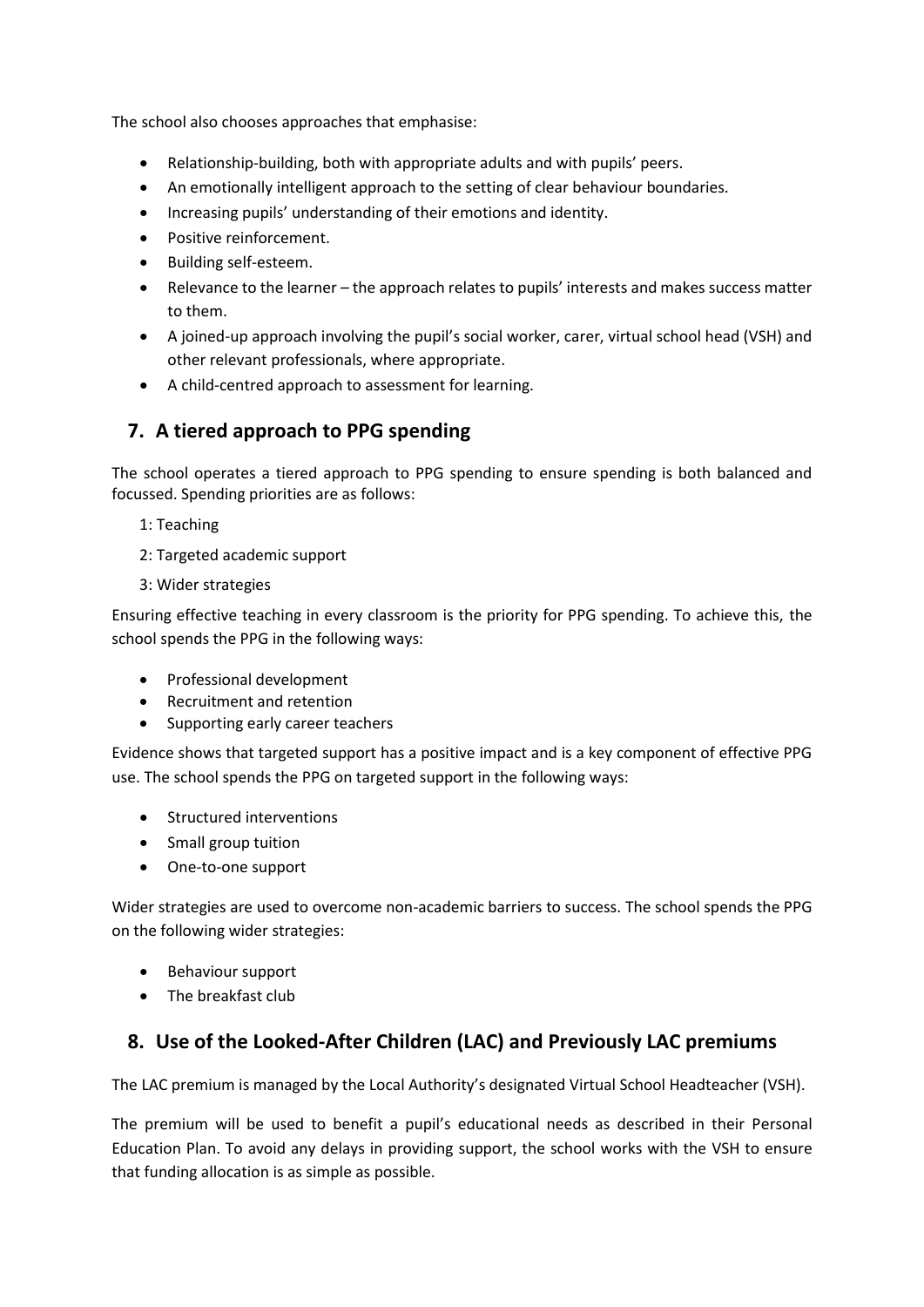The school also chooses approaches that emphasise:

- Relationship-building, both with appropriate adults and with pupils' peers.
- An emotionally intelligent approach to the setting of clear behaviour boundaries.
- Increasing pupils' understanding of their emotions and identity.
- Positive reinforcement.
- Building self-esteem.
- Relevance to the learner the approach relates to pupils' interests and makes success matter to them.
- A joined-up approach involving the pupil's social worker, carer, virtual school head (VSH) and other relevant professionals, where appropriate.
- A child-centred approach to assessment for learning.

#### <span id="page-5-0"></span>**7. A tiered approach to PPG spending**

The school operates a tiered approach to PPG spending to ensure spending is both balanced and focussed. Spending priorities are as follows:

- 1: Teaching
- 2: Targeted academic support
- 3: Wider strategies

Ensuring effective teaching in every classroom is the priority for PPG spending. To achieve this, the school spends the PPG in the following ways:

- Professional development
- Recruitment and retention
- Supporting early career teachers

Evidence shows that targeted support has a positive impact and is a key component of effective PPG use. The school spends the PPG on targeted support in the following ways:

- Structured interventions
- Small group tuition
- One-to-one support

Wider strategies are used to overcome non-academic barriers to success. The school spends the PPG on the following wider strategies:

- Behaviour support
- The breakfast club

## <span id="page-5-1"></span>**8. Use of the Looked-After Children (LAC) and Previously LAC premiums**

The LAC premium is managed by the Local Authority's designated Virtual School Headteacher (VSH).

The premium will be used to benefit a pupil's educational needs as described in their Personal Education Plan. To avoid any delays in providing support, the school works with the VSH to ensure that funding allocation is as simple as possible.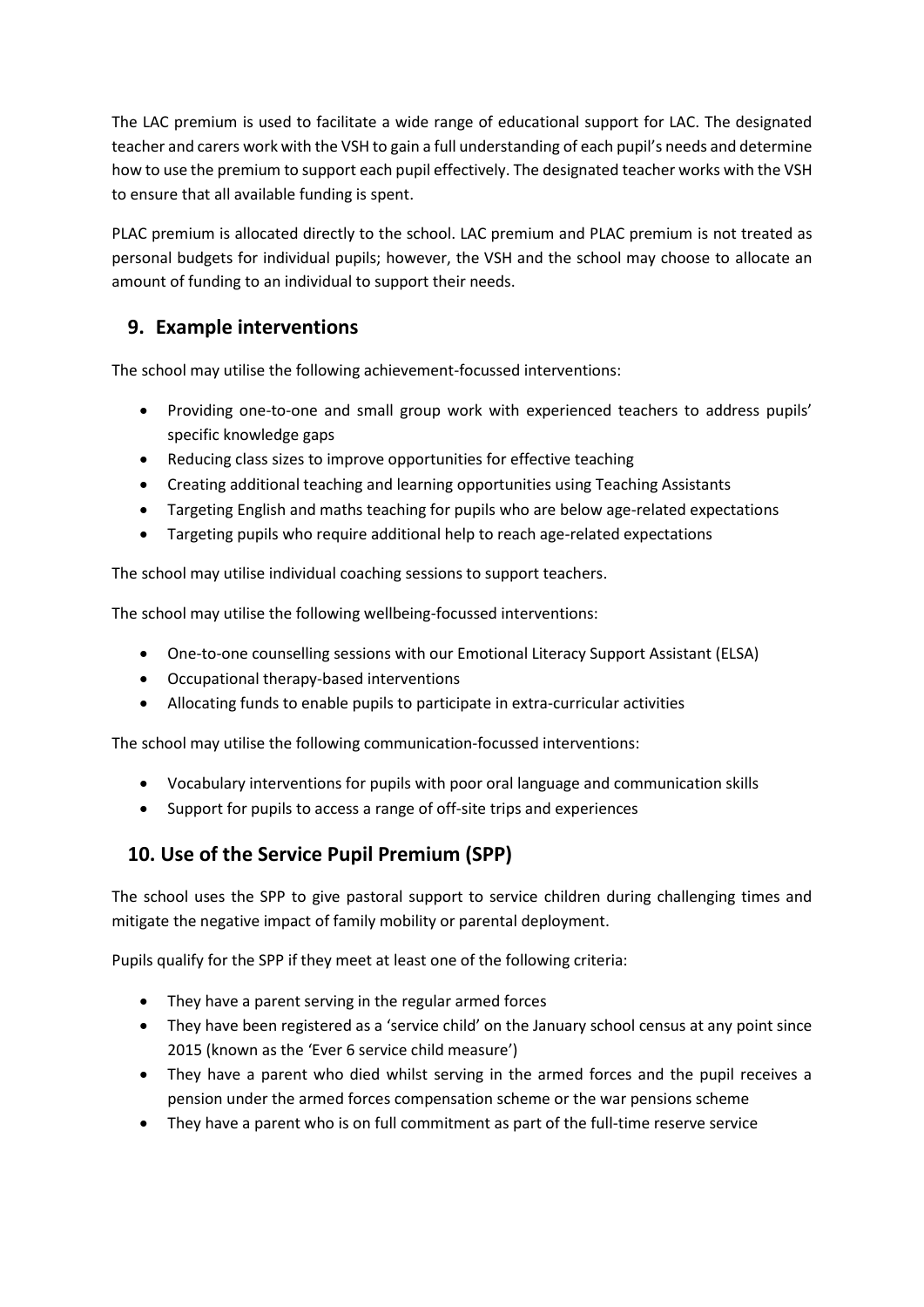The LAC premium is used to facilitate a wide range of educational support for LAC. The designated teacher and carers work with the VSH to gain a full understanding of each pupil's needs and determine how to use the premium to support each pupil effectively. The designated teacher works with the VSH to ensure that all available funding is spent.

PLAC premium is allocated directly to the school. LAC premium and PLAC premium is not treated as personal budgets for individual pupils; however, the VSH and the school may choose to allocate an amount of funding to an individual to support their needs.

#### <span id="page-6-0"></span>**9. Example interventions**

The school may utilise the following achievement-focussed interventions:

- Providing one-to-one and small group work with experienced teachers to address pupils' specific knowledge gaps
- Reducing class sizes to improve opportunities for effective teaching
- Creating additional teaching and learning opportunities using Teaching Assistants
- Targeting English and maths teaching for pupils who are below age-related expectations
- Targeting pupils who require additional help to reach age-related expectations

The school may utilise individual coaching sessions to support teachers.

The school may utilise the following wellbeing-focussed interventions:

- One-to-one counselling sessions with our Emotional Literacy Support Assistant (ELSA)
- Occupational therapy-based interventions
- Allocating funds to enable pupils to participate in extra-curricular activities

The school may utilise the following communication-focussed interventions:

- Vocabulary interventions for pupils with poor oral language and communication skills
- Support for pupils to access a range of off-site trips and experiences

## <span id="page-6-1"></span>**10. Use of the Service Pupil Premium (SPP)**

The school uses the SPP to give pastoral support to service children during challenging times and mitigate the negative impact of family mobility or parental deployment.

Pupils qualify for the SPP if they meet at least one of the following criteria:

- They have a parent serving in the regular armed forces
- They have been registered as a 'service child' on the January school census at any point since 2015 (known as the 'Ever 6 service child measure')
- They have a parent who died whilst serving in the armed forces and the pupil receives a pension under the armed forces compensation scheme or the war pensions scheme
- They have a parent who is on full commitment as part of the full-time reserve service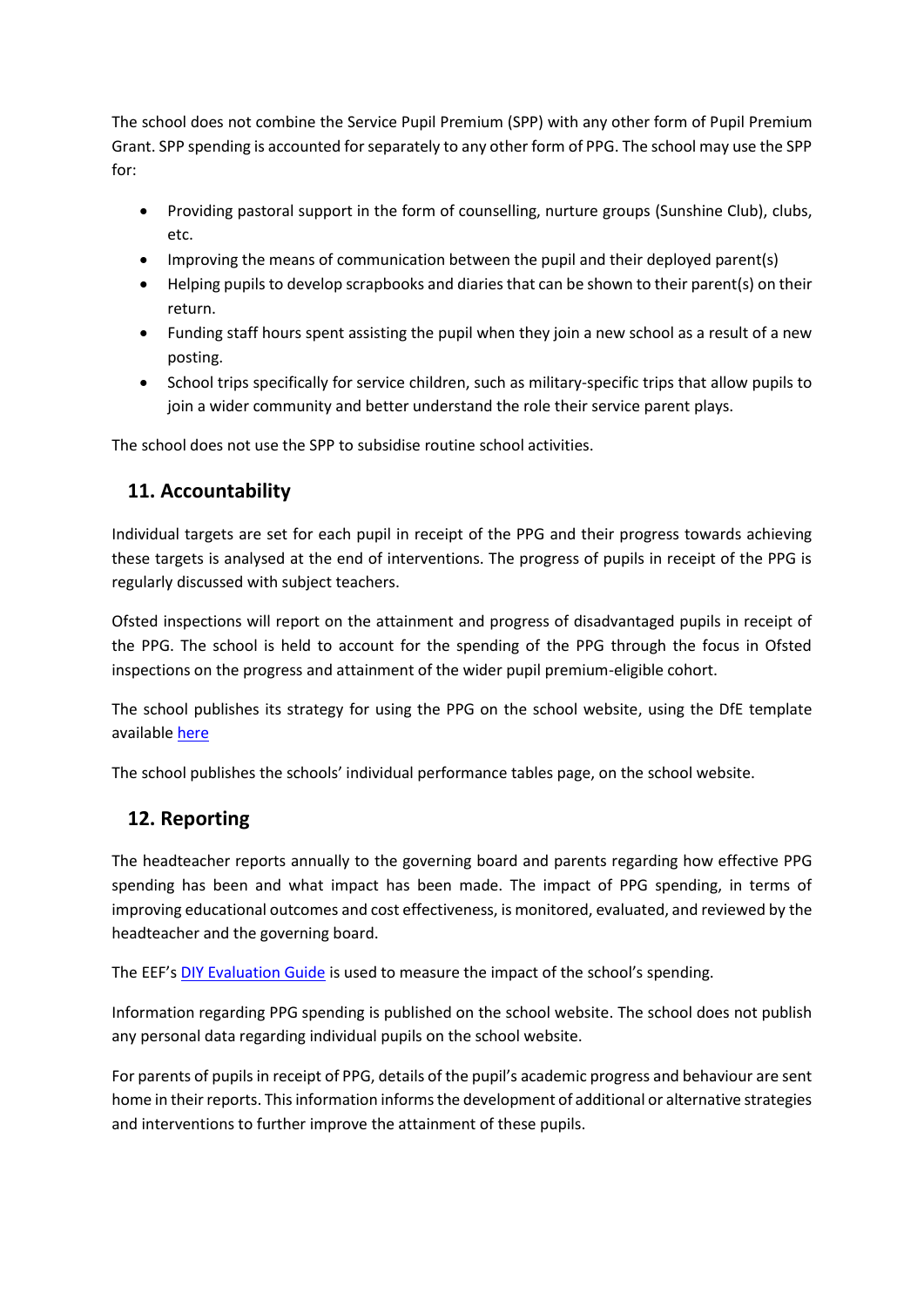The school does not combine the Service Pupil Premium (SPP) with any other form of Pupil Premium Grant. SPP spending is accounted for separately to any other form of PPG. The school may use the SPP for:

- Providing pastoral support in the form of counselling, nurture groups (Sunshine Club), clubs, etc.
- Improving the means of communication between the pupil and their deployed parent(s)
- Helping pupils to develop scrapbooks and diaries that can be shown to their parent(s) on their return.
- Funding staff hours spent assisting the pupil when they join a new school as a result of a new posting.
- School trips specifically for service children, such as military-specific trips that allow pupils to join a wider community and better understand the role their service parent plays.

The school does not use the SPP to subsidise routine school activities.

## <span id="page-7-0"></span>**11. Accountability**

Individual targets are set for each pupil in receipt of the PPG and their progress towards achieving these targets is analysed at the end of interventions. The progress of pupils in receipt of the PPG is regularly discussed with subject teachers.

Ofsted inspections will report on the attainment and progress of disadvantaged pupils in receipt of the PPG. The school is held to account for the spending of the PPG through the focus in Ofsted inspections on the progress and attainment of the wider pupil premium-eligible cohort.

The school publishes its strategy for using the PPG on the school website, using the DfE template available [here](https://www.gov.uk/guidance/pupil-premium-effective-use-and-accountability#strategy-statements)

The school publishes the schools' individual performance tables page, on the school website.

## <span id="page-7-1"></span>**12. Reporting**

The headteacher reports annually to the governing board and parents regarding how effective PPG spending has been and what impact has been made. The impact of PPG spending, in terms of improving educational outcomes and cost effectiveness, is monitored, evaluated, and reviewed by the headteacher and the governing board.

The EEF's [DIY Evaluation Guide](https://educationendowmentfoundation.org.uk/tools/diy-guide/getting-started/) is used to measure the impact of the school's spending.

Information regarding PPG spending is published on the school website. The school does not publish any personal data regarding individual pupils on the school website.

<span id="page-7-2"></span>For parents of pupils in receipt of PPG, details of the pupil's academic progress and behaviour are sent home in their reports. This information informs the development of additional or alternative strategies and interventions to further improve the attainment of these pupils.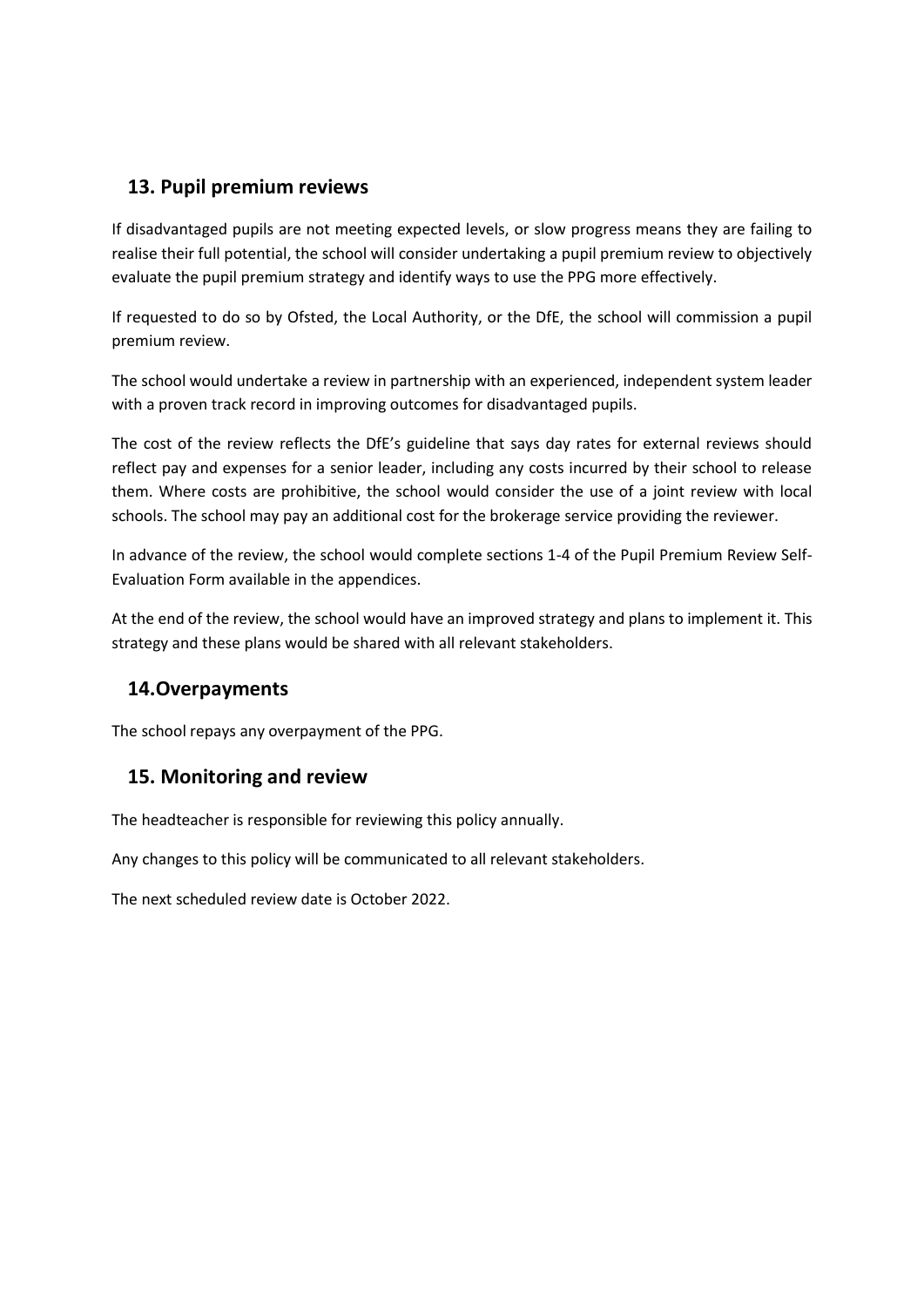#### **13. Pupil premium reviews**

If disadvantaged pupils are not meeting expected levels, or slow progress means they are failing to realise their full potential, the school will consider undertaking a pupil premium review to objectively evaluate the pupil premium strategy and identify ways to use the PPG more effectively.

If requested to do so by Ofsted, the Local Authority, or the DfE, the school will commission a pupil premium review.

The school would undertake a review in partnership with an experienced, independent system leader with a proven track record in improving outcomes for disadvantaged pupils.

The cost of the review reflects the DfE's guideline that says day rates for external reviews should reflect pay and expenses for a senior leader, including any costs incurred by their school to release them. Where costs are prohibitive, the school would consider the use of a joint review with local schools. The school may pay an additional cost for the brokerage service providing the reviewer.

In advance of the review, the school would complete sections 1-4 of the Pupil Premium Review Self-Evaluation Form available in the appendices.

At the end of the review, the school would have an improved strategy and plans to implement it. This strategy and these plans would be shared with all relevant stakeholders.

#### <span id="page-8-0"></span>**14.Overpayments**

The school repays any overpayment of the PPG.

#### <span id="page-8-1"></span>**15. Monitoring and review**

The headteacher is responsible for reviewing this policy annually.

Any changes to this policy will be communicated to all relevant stakeholders.

<span id="page-8-2"></span>The next scheduled review date is October 2022.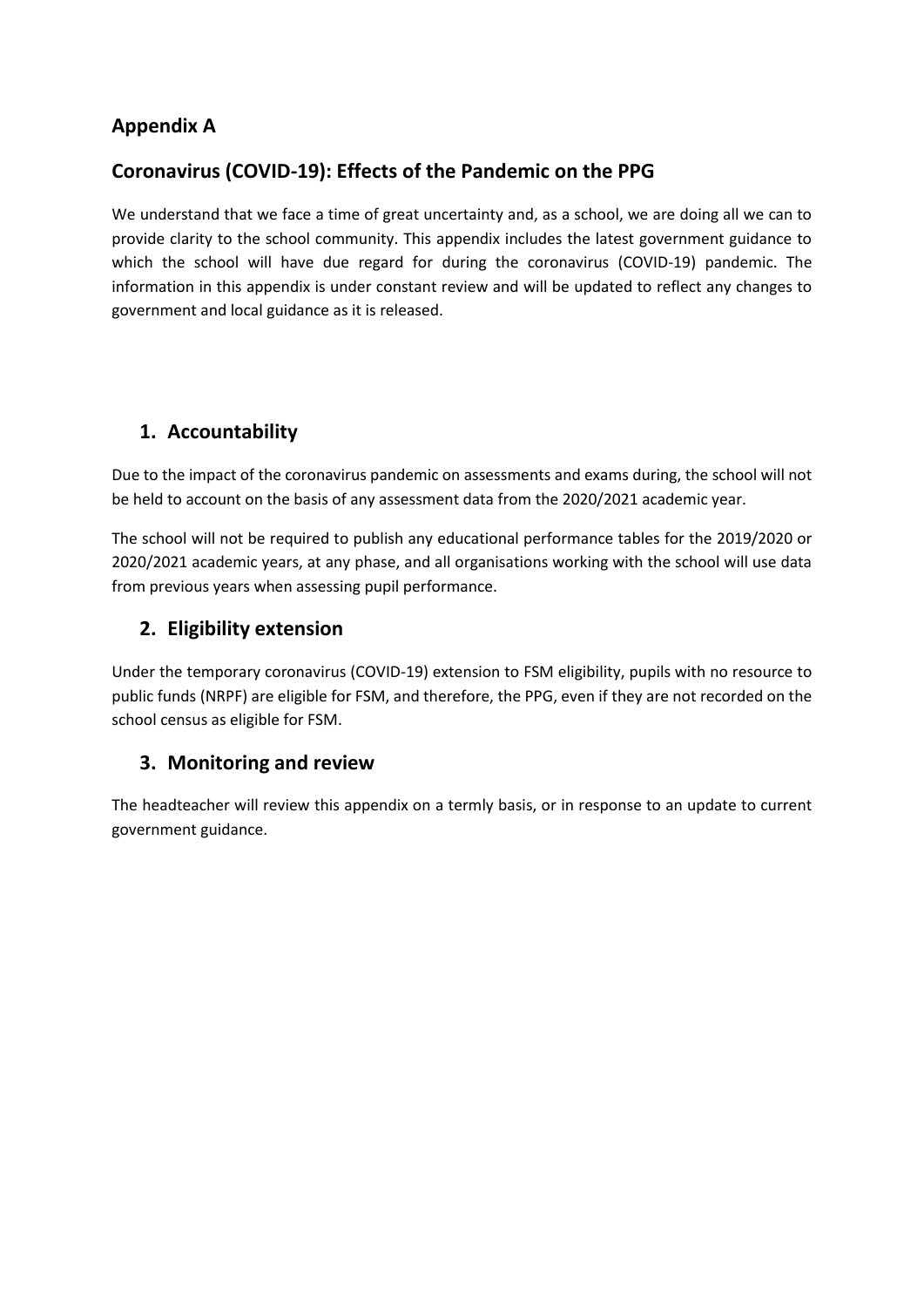## **Appendix A**

## **Coronavirus (COVID-19): Effects of the Pandemic on the PPG**

We understand that we face a time of great uncertainty and, as a school, we are doing all we can to provide clarity to the school community. This appendix includes the latest government guidance to which the school will have due regard for during the coronavirus (COVID-19) pandemic. The information in this appendix is under constant review and will be updated to reflect any changes to government and local guidance as it is released.

## **1. Accountability**

Due to the impact of the coronavirus pandemic on assessments and exams during, the school will not be held to account on the basis of any assessment data from the 2020/2021 academic year.

The school will not be required to publish any educational performance tables for the 2019/2020 or 2020/2021 academic years, at any phase, and all organisations working with the school will use data from previous years when assessing pupil performance.

#### **2. Eligibility extension**

Under the temporary coronavirus (COVID-19) extension to FSM eligibility, pupils with no resource to public funds (NRPF) are eligible for FSM, and therefore, the PPG, even if they are not recorded on the school census as eligible for FSM.

#### **3. Monitoring and review**

The headteacher will review this appendix on a termly basis, or in response to an update to current government guidance.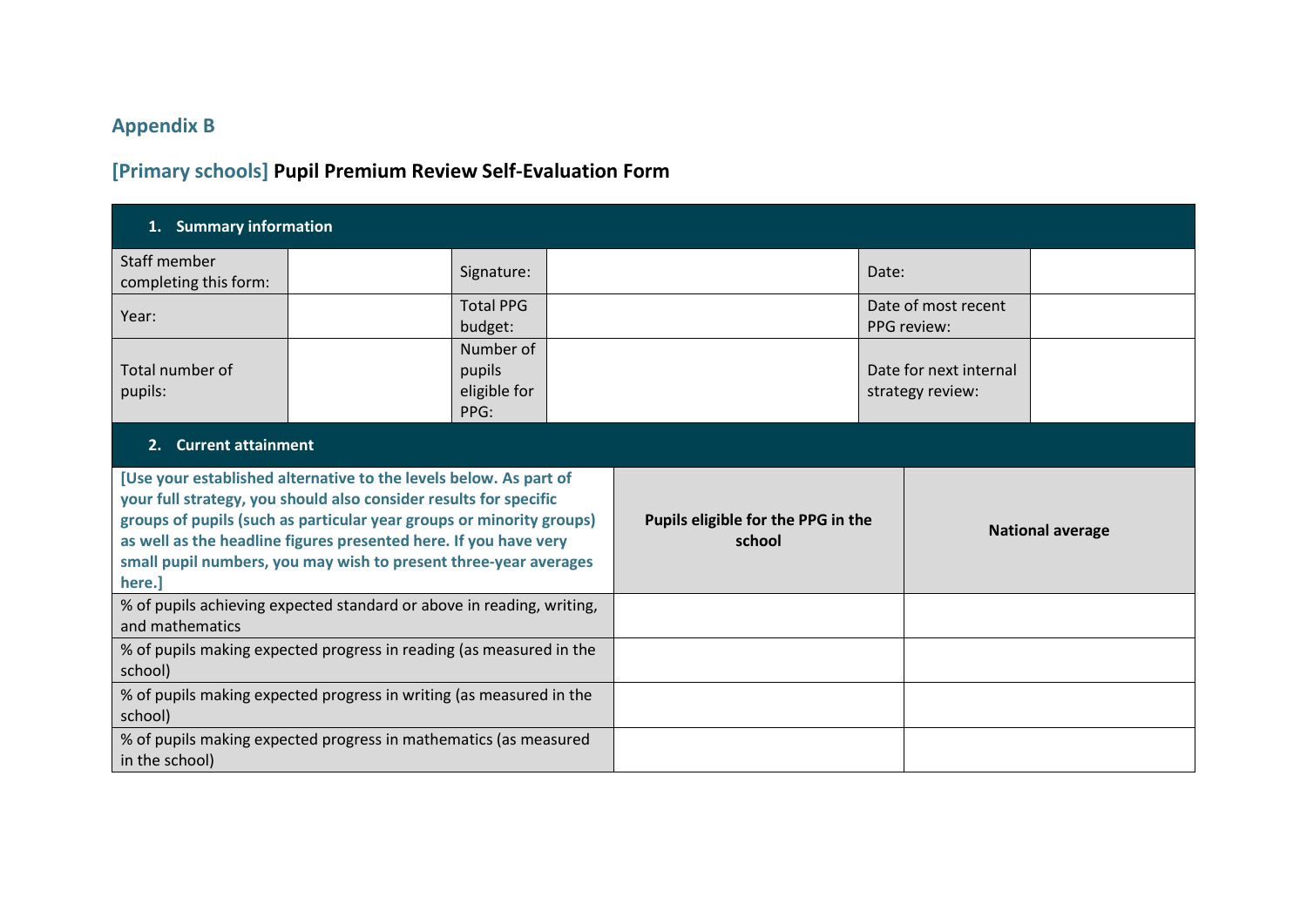# **Appendix B**

# **[Primary schools] Pupil Premium Review Self-Evaluation Form**

<span id="page-10-0"></span>

| 1. Summary information                                                                                                                                                                                                                                                                                                                                           |  |                                              |  |                         |  |       |                                            |  |
|------------------------------------------------------------------------------------------------------------------------------------------------------------------------------------------------------------------------------------------------------------------------------------------------------------------------------------------------------------------|--|----------------------------------------------|--|-------------------------|--|-------|--------------------------------------------|--|
| Staff member<br>completing this form:                                                                                                                                                                                                                                                                                                                            |  | Signature:                                   |  |                         |  | Date: |                                            |  |
| Year:                                                                                                                                                                                                                                                                                                                                                            |  | <b>Total PPG</b><br>budget:                  |  |                         |  |       | Date of most recent<br>PPG review:         |  |
| Total number of<br>pupils:                                                                                                                                                                                                                                                                                                                                       |  | Number of<br>pupils<br>eligible for<br>PPG:  |  |                         |  |       | Date for next internal<br>strategy review: |  |
| 2. Current attainment                                                                                                                                                                                                                                                                                                                                            |  |                                              |  |                         |  |       |                                            |  |
| [Use your established alternative to the levels below. As part of<br>your full strategy, you should also consider results for specific<br>groups of pupils (such as particular year groups or minority groups)<br>as well as the headline figures presented here. If you have very<br>small pupil numbers, you may wish to present three-year averages<br>here.] |  | Pupils eligible for the PPG in the<br>school |  | <b>National average</b> |  |       |                                            |  |
| % of pupils achieving expected standard or above in reading, writing,<br>and mathematics                                                                                                                                                                                                                                                                         |  |                                              |  |                         |  |       |                                            |  |
| % of pupils making expected progress in reading (as measured in the<br>school)                                                                                                                                                                                                                                                                                   |  |                                              |  |                         |  |       |                                            |  |
| % of pupils making expected progress in writing (as measured in the<br>school)                                                                                                                                                                                                                                                                                   |  |                                              |  |                         |  |       |                                            |  |
| % of pupils making expected progress in mathematics (as measured<br>in the school)                                                                                                                                                                                                                                                                               |  |                                              |  |                         |  |       |                                            |  |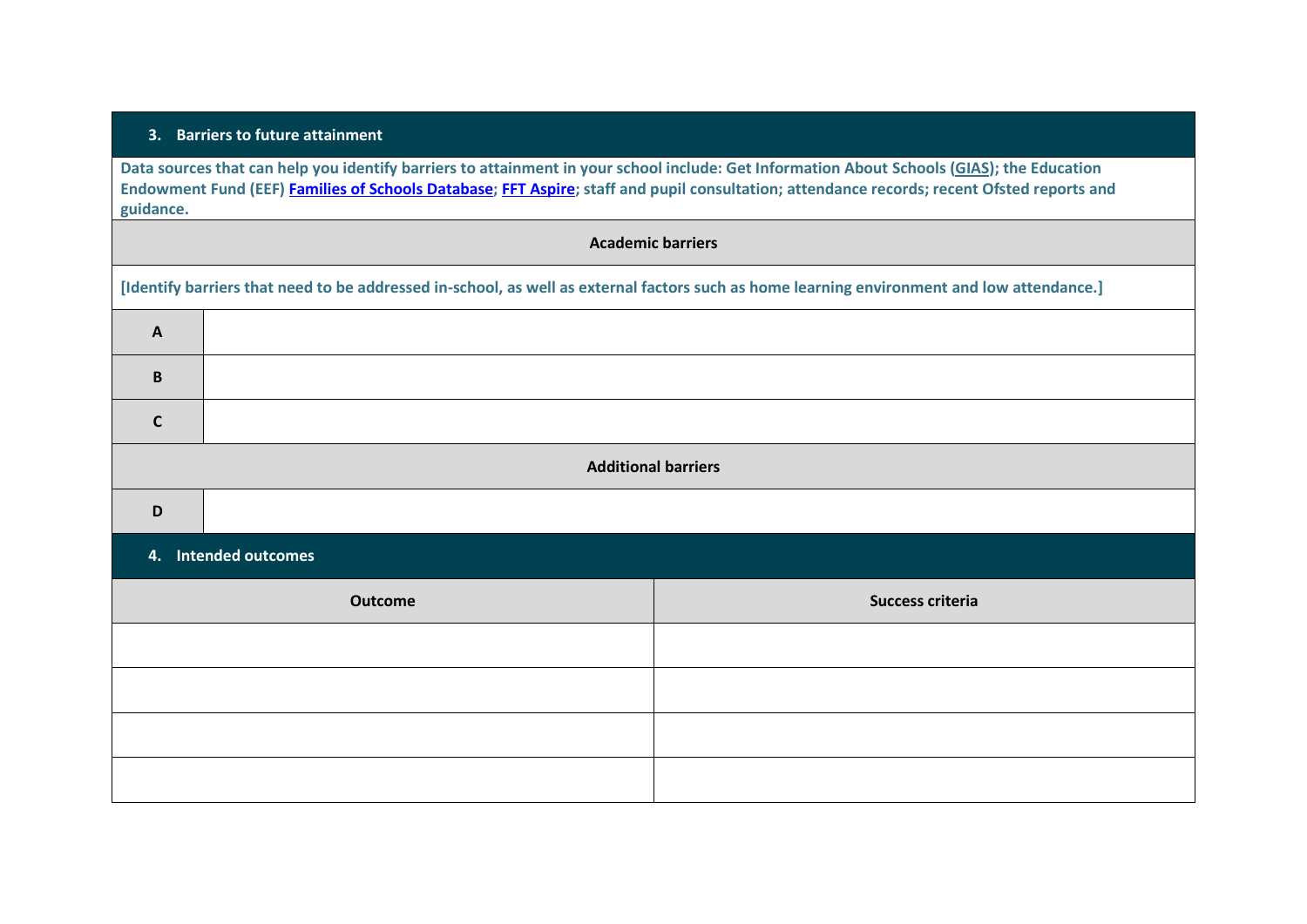#### **3. Barriers to future attainment**

**Data sources that can help you identify barriers to attainment in your school include: Get Information About Schools [\(GIAS\)](https://get-information-schools.service.gov.uk/); the Education Endowment Fund (EEF) [Families of Schools Database;](https://educationendowmentfoundation.org.uk/tools/families-of-schools-database) [FFT Aspire;](https://fft.org.uk/) staff and pupil consultation; attendance records; recent Ofsted reports and guidance.**

# **Academic barriers [Identify barriers that need to be addressed in-school, as well as external factors such as home learning environment and low attendance.] A B C Additional barriers D**

#### **4. Intended outcomes**

| Outcome | Success criteria |
|---------|------------------|
|         |                  |
|         |                  |
|         |                  |
|         |                  |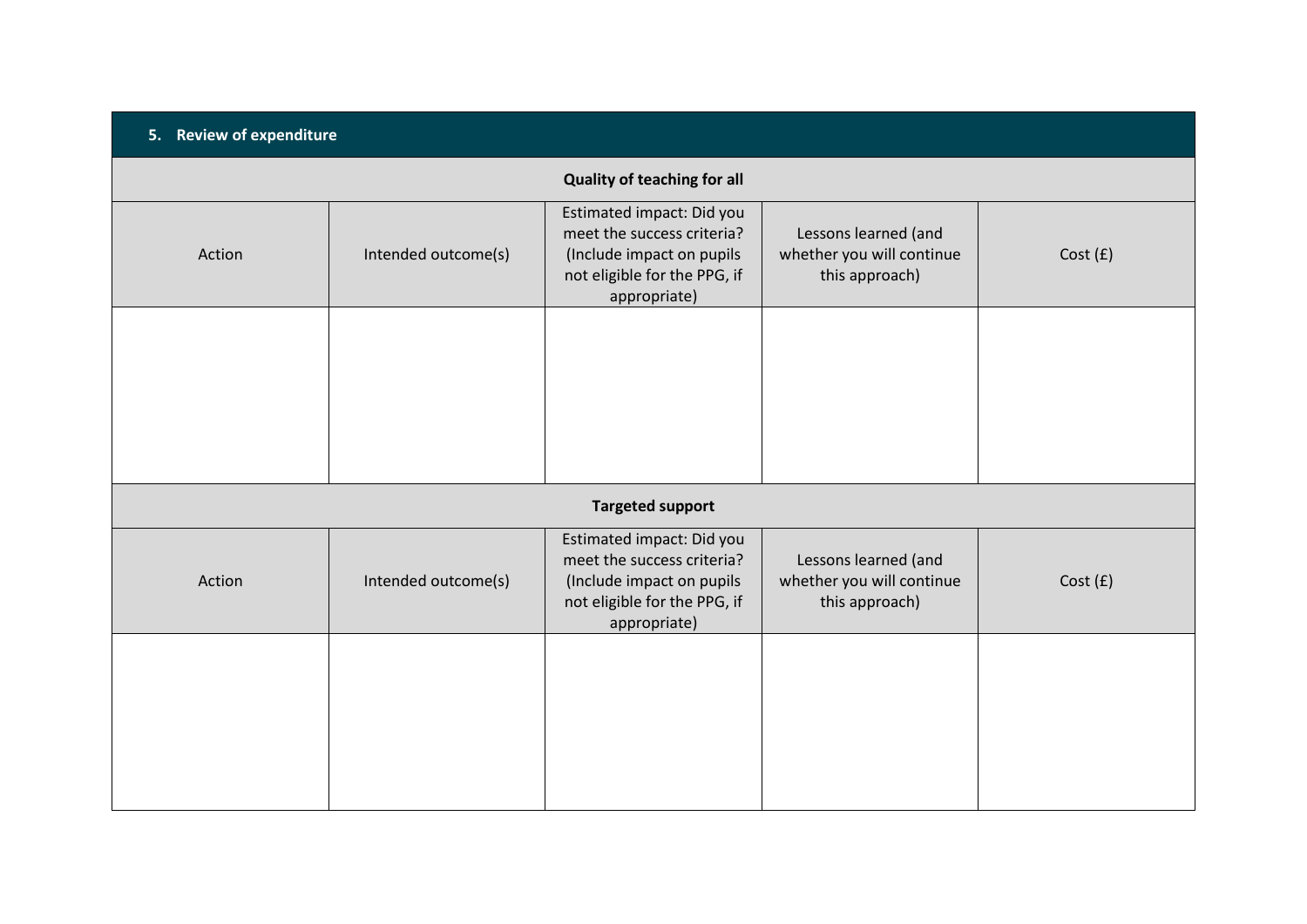| 5. Review of expenditure           |                     |                                                                                                                                      |                                                                     |         |  |  |  |
|------------------------------------|---------------------|--------------------------------------------------------------------------------------------------------------------------------------|---------------------------------------------------------------------|---------|--|--|--|
| <b>Quality of teaching for all</b> |                     |                                                                                                                                      |                                                                     |         |  |  |  |
| Action                             | Intended outcome(s) | Estimated impact: Did you<br>meet the success criteria?<br>(Include impact on pupils<br>not eligible for the PPG, if<br>appropriate) | Lessons learned (and<br>whether you will continue<br>this approach) | Cost(f) |  |  |  |
|                                    |                     |                                                                                                                                      |                                                                     |         |  |  |  |
|                                    |                     | <b>Targeted support</b>                                                                                                              |                                                                     |         |  |  |  |
| Action                             | Intended outcome(s) | Estimated impact: Did you<br>meet the success criteria?<br>(Include impact on pupils<br>not eligible for the PPG, if<br>appropriate) | Lessons learned (and<br>whether you will continue<br>this approach) | Cost(f) |  |  |  |
|                                    |                     |                                                                                                                                      |                                                                     |         |  |  |  |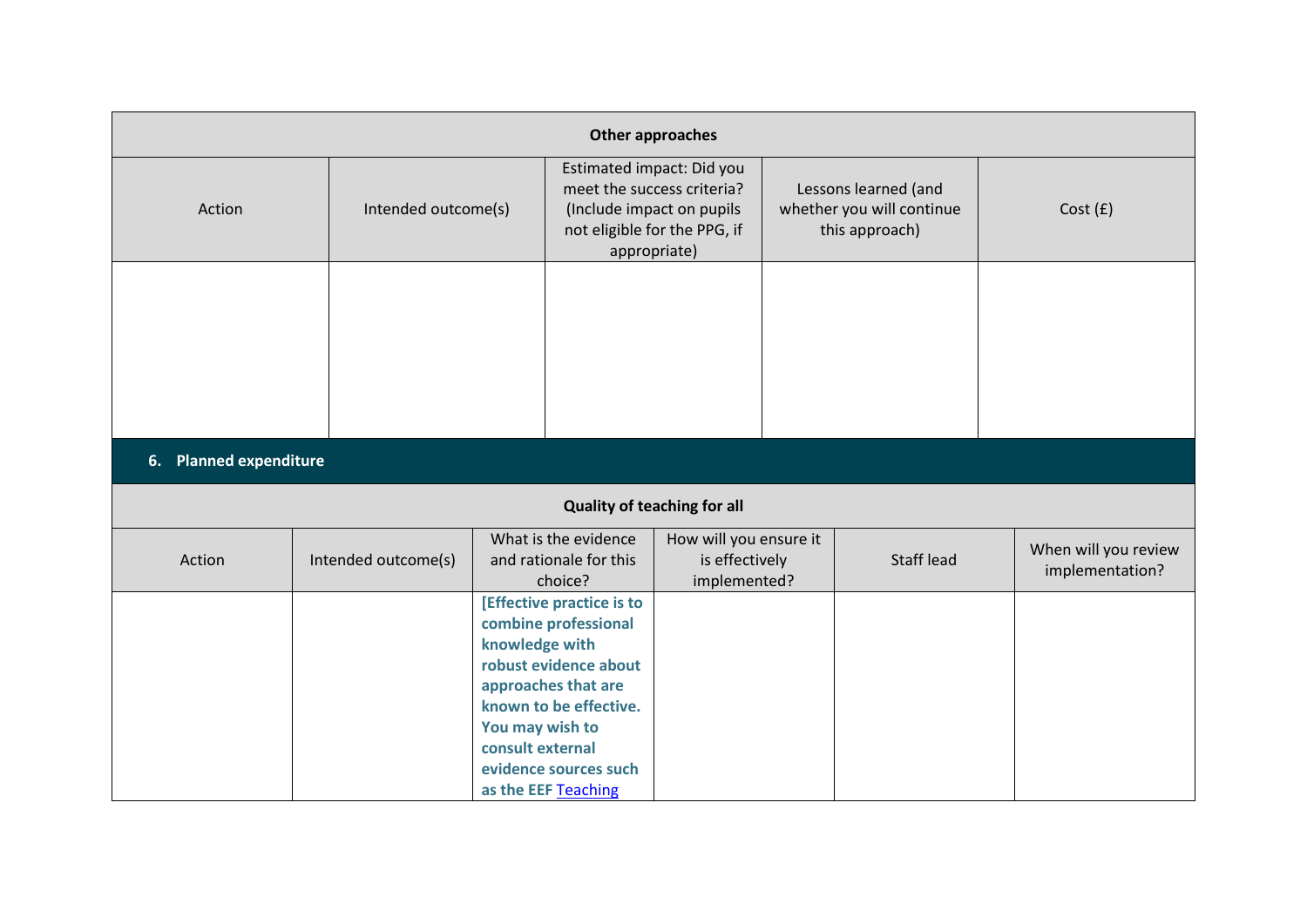| Other approaches |                        |                                                       |                                                                                                                                                                             |                                                                                                                                      |  |                                                                     |                                         |  |
|------------------|------------------------|-------------------------------------------------------|-----------------------------------------------------------------------------------------------------------------------------------------------------------------------------|--------------------------------------------------------------------------------------------------------------------------------------|--|---------------------------------------------------------------------|-----------------------------------------|--|
| Action           |                        | Intended outcome(s)                                   |                                                                                                                                                                             | Estimated impact: Did you<br>meet the success criteria?<br>(Include impact on pupils<br>not eligible for the PPG, if<br>appropriate) |  | Lessons learned (and<br>whether you will continue<br>this approach) | Cost(f)                                 |  |
|                  |                        |                                                       |                                                                                                                                                                             |                                                                                                                                      |  |                                                                     |                                         |  |
|                  | 6. Planned expenditure |                                                       |                                                                                                                                                                             |                                                                                                                                      |  |                                                                     |                                         |  |
|                  |                        |                                                       |                                                                                                                                                                             | <b>Quality of teaching for all</b>                                                                                                   |  |                                                                     |                                         |  |
| Action           | Intended outcome(s)    |                                                       | What is the evidence<br>and rationale for this<br>choice?                                                                                                                   | How will you ensure it<br>is effectively<br>implemented?                                                                             |  | <b>Staff lead</b>                                                   | When will you review<br>implementation? |  |
|                  |                        | knowledge with<br>You may wish to<br>consult external | [Effective practice is to<br>combine professional<br>robust evidence about<br>approaches that are<br>known to be effective.<br>evidence sources such<br>as the EEF Teaching |                                                                                                                                      |  |                                                                     |                                         |  |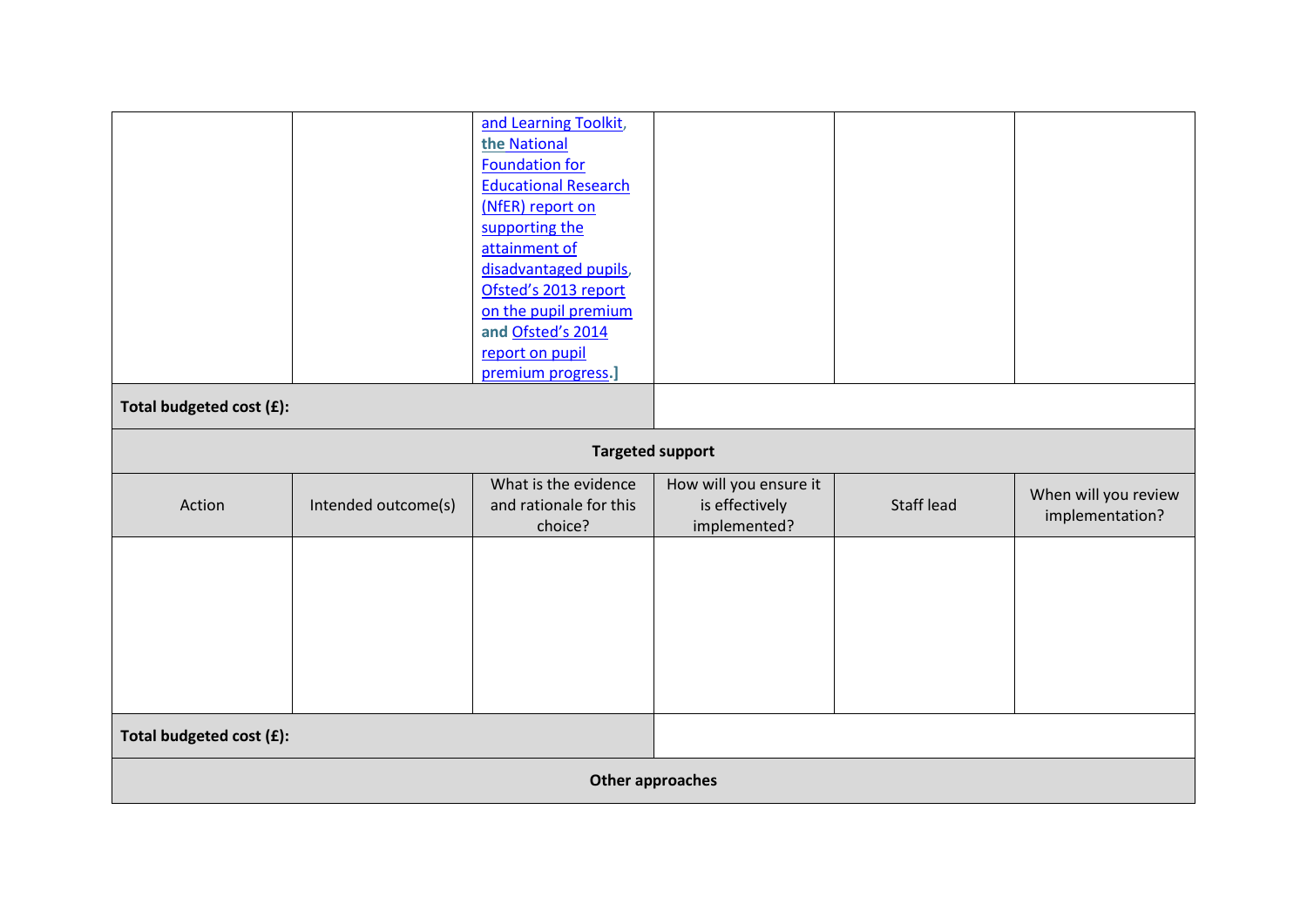|                          |                     | and Learning Toolkit,<br>the National<br><b>Foundation for</b><br><b>Educational Research</b><br>(NfER) report on<br>supporting the<br>attainment of<br>disadvantaged pupils,<br>Ofsted's 2013 report<br>on the pupil premium<br>and Ofsted's 2014<br>report on pupil<br>premium progress.] |                                                          |            |                                         |
|--------------------------|---------------------|---------------------------------------------------------------------------------------------------------------------------------------------------------------------------------------------------------------------------------------------------------------------------------------------|----------------------------------------------------------|------------|-----------------------------------------|
| Total budgeted cost (£): |                     |                                                                                                                                                                                                                                                                                             |                                                          |            |                                         |
|                          |                     | <b>Targeted support</b>                                                                                                                                                                                                                                                                     |                                                          |            |                                         |
| Action                   | Intended outcome(s) | What is the evidence<br>and rationale for this<br>choice?                                                                                                                                                                                                                                   | How will you ensure it<br>is effectively<br>implemented? | Staff lead | When will you review<br>implementation? |
|                          |                     |                                                                                                                                                                                                                                                                                             |                                                          |            |                                         |
| Total budgeted cost (£): |                     |                                                                                                                                                                                                                                                                                             |                                                          |            |                                         |
| Other approaches         |                     |                                                                                                                                                                                                                                                                                             |                                                          |            |                                         |